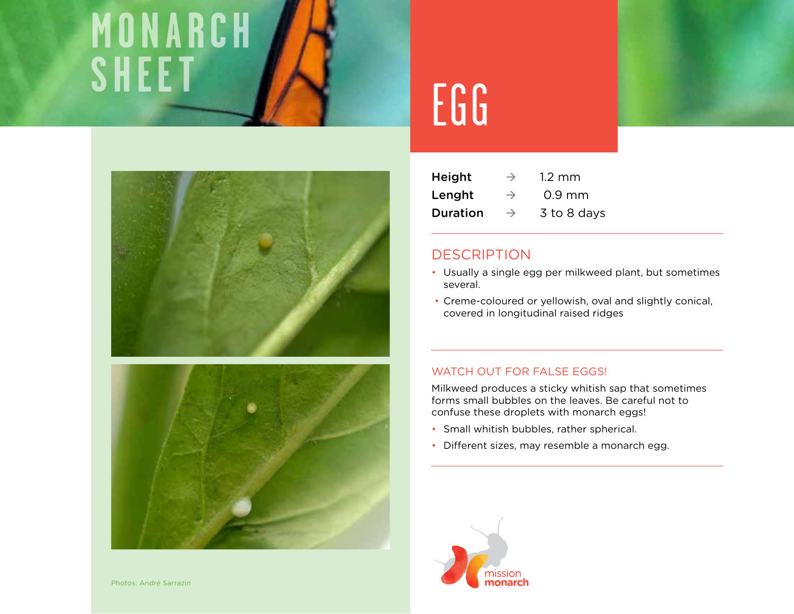# **monarch** SHEET JAN EGG





| <b>Height</b> | $\rightarrow$ | $1.2 \text{ mm}$ |
|---------------|---------------|------------------|
| Lenght        | $\rightarrow$ | $0.9$ mm         |
| Duration      | $\rightarrow$ | 3 to 8 days      |

# **DESCRIPTION**

- Usually a single egg per milkweed plant, but sometimes several.
- Creme-coloured or yellowish, oval and slightly conical, covered in longitudinal raised ridges

## WATCH OUT FOR FALSE EGGS!

Milkweed produces a sticky whitish sap that sometimes forms small bubbles on the leaves. Be careful not to confuse these droplets with monarch eggs!

- Small whitish bubbles, rather spherical.
- Different sizes, may resemble a monarch egg.

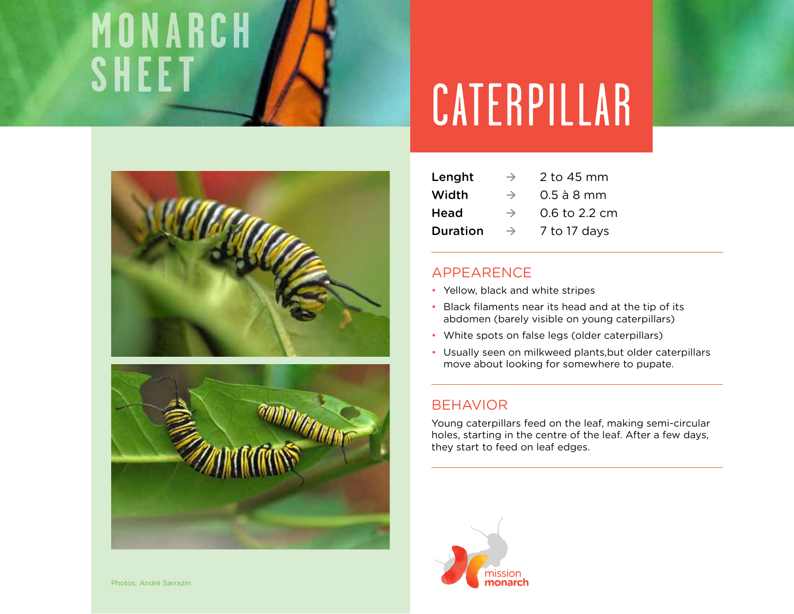# **monarch**





# **sheet** Caterpillar

| Lenght          | $\rightarrow$ | 2 to 45 mm    |
|-----------------|---------------|---------------|
| Width           | $\rightarrow$ | $0.5$ à 8 mm  |
| Head            | $\rightarrow$ | 0.6 to 2.2 cm |
| <b>Duration</b> | $\rightarrow$ | 7 to 17 days  |

# Appearence

- Yellow, black and white stripes
- Black filaments near its head and at the tip of its abdomen (barely visible on young caterpillars)
- White spots on false legs (older caterpillars)
- Usually seen on milkweed plants,but older caterpillars move about looking for somewhere to pupate.

## **BEHAVIOR**

Young caterpillars feed on the leaf, making semi-circular holes, starting in the centre of the leaf. After a few days, they start to feed on leaf edges.

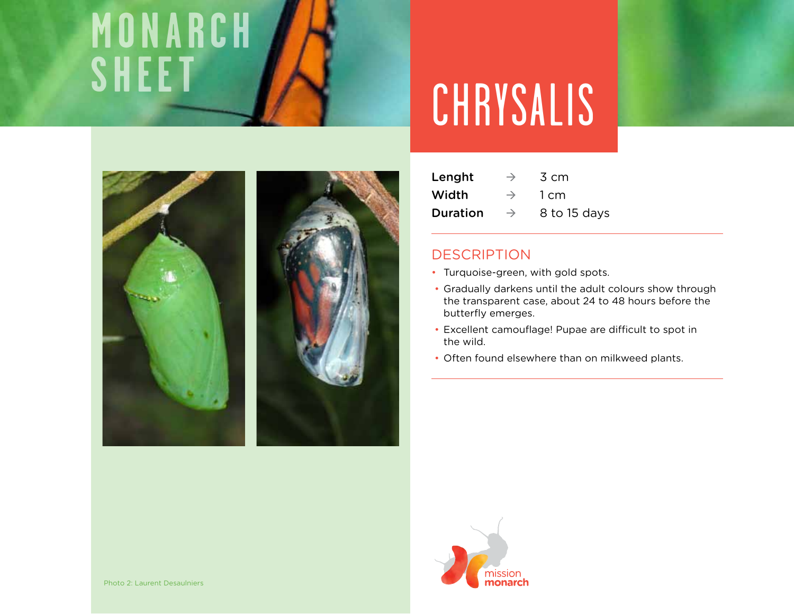# **monarch**



# CHRYSALIS

| Lenght   | $\rightarrow$ | 3 cm         |
|----------|---------------|--------------|
| Width    | $\rightarrow$ | 1 cm         |
| Duration | $\rightarrow$ | 8 to 15 days |

# **DESCRIPTION**

- Turquoise-green, with gold spots.
- Gradually darkens until the adult colours show through the transparent case, about 24 to 48 hours before the butterfly emerges.
- Excellent camouflage! Pupae are difficult to spot in the wild.
- Often found elsewhere than on milkweed plants.